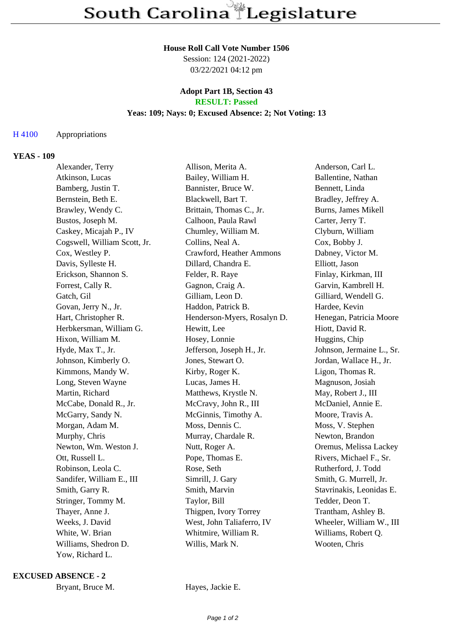#### **House Roll Call Vote Number 1506**

Session: 124 (2021-2022) 03/22/2021 04:12 pm

## **Adopt Part 1B, Section 43 RESULT: Passed**

# **Yeas: 109; Nays: 0; Excused Absence: 2; Not Voting: 13**

## H 4100 Appropriations

### **YEAS - 109**

| Alexander, Terry             | Allison, Merita A.          | Anderson, Carl L.         |
|------------------------------|-----------------------------|---------------------------|
| Atkinson, Lucas              | Bailey, William H.          | Ballentine, Nathan        |
| Bamberg, Justin T.           | Bannister, Bruce W.         | Bennett, Linda            |
| Bernstein, Beth E.           | Blackwell, Bart T.          | Bradley, Jeffrey A.       |
| Brawley, Wendy C.            | Brittain, Thomas C., Jr.    | Burns, James Mikell       |
| Bustos, Joseph M.            | Calhoon, Paula Rawl         | Carter, Jerry T.          |
| Caskey, Micajah P., IV       | Chumley, William M.         | Clyburn, William          |
| Cogswell, William Scott, Jr. | Collins, Neal A.            | Cox, Bobby J.             |
| Cox, Westley P.              | Crawford, Heather Ammons    | Dabney, Victor M.         |
| Davis, Sylleste H.           | Dillard, Chandra E.         | Elliott, Jason            |
| Erickson, Shannon S.         | Felder, R. Raye             | Finlay, Kirkman, III      |
| Forrest, Cally R.            | Gagnon, Craig A.            | Garvin, Kambrell H.       |
| Gatch, Gil                   | Gilliam, Leon D.            | Gilliard, Wendell G.      |
| Govan, Jerry N., Jr.         | Haddon, Patrick B.          | Hardee, Kevin             |
| Hart, Christopher R.         | Henderson-Myers, Rosalyn D. | Henegan, Patricia Moore   |
| Herbkersman, William G.      | Hewitt, Lee                 | Hiott, David R.           |
| Hixon, William M.            | Hosey, Lonnie               | Huggins, Chip             |
| Hyde, Max T., Jr.            | Jefferson, Joseph H., Jr.   | Johnson, Jermaine L., Sr. |
| Johnson, Kimberly O.         | Jones, Stewart O.           | Jordan, Wallace H., Jr.   |
| Kimmons, Mandy W.            | Kirby, Roger K.             | Ligon, Thomas R.          |
| Long, Steven Wayne           | Lucas, James H.             | Magnuson, Josiah          |
| Martin, Richard              | Matthews, Krystle N.        | May, Robert J., III       |
| McCabe, Donald R., Jr.       | McCravy, John R., III       | McDaniel, Annie E.        |
| McGarry, Sandy N.            | McGinnis, Timothy A.        | Moore, Travis A.          |
| Morgan, Adam M.              | Moss, Dennis C.             | Moss, V. Stephen          |
| Murphy, Chris                | Murray, Chardale R.         | Newton, Brandon           |
| Newton, Wm. Weston J.        | Nutt, Roger A.              | Oremus, Melissa Lackey    |
| Ott, Russell L.              | Pope, Thomas E.             | Rivers, Michael F., Sr.   |
| Robinson, Leola C.           | Rose, Seth                  | Rutherford, J. Todd       |
| Sandifer, William E., III    | Simrill, J. Gary            | Smith, G. Murrell, Jr.    |
| Smith, Garry R.              | Smith, Marvin               | Stavrinakis, Leonidas E.  |
| Stringer, Tommy M.           | Taylor, Bill                | Tedder, Deon T.           |
| Thayer, Anne J.              | Thigpen, Ivory Torrey       | Trantham, Ashley B.       |
| Weeks, J. David              | West, John Taliaferro, IV   | Wheeler, William W., III  |
| White, W. Brian              | Whitmire, William R.        | Williams, Robert Q.       |
| Williams, Shedron D.         | Willis, Mark N.             | Wooten, Chris             |
| Yow, Richard L.              |                             |                           |

#### **EXCUSED ABSENCE - 2**

|  | Bryant, Bruce M. |
|--|------------------|
|--|------------------|

Hayes, Jackie E.